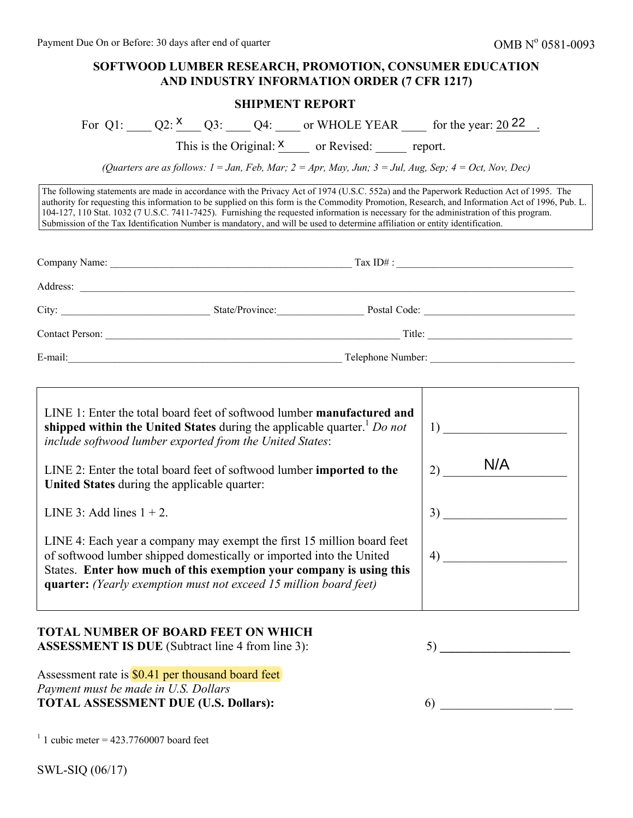## **SOFTWOOD LUMBER RESEARCH, PROMOTION, CONSUMER EDUCATION AND INDUSTRY INFORMATION ORDER (7 CFR 1217)**

## **SHIPMENT REPORT**

| For | or WHOLE YEAR | for the year: $20\,22$ |
|-----|---------------|------------------------|
|-----|---------------|------------------------|

| For Q1: $Q2: \frac{X}{Q3}$ : $Q4:$ Q4: or WHOLE YEAR for the year: $20\frac{22}{Q3}$ .                                                                                                                                                                                                                                                                                                                                                                                                                                                                               |           |
|----------------------------------------------------------------------------------------------------------------------------------------------------------------------------------------------------------------------------------------------------------------------------------------------------------------------------------------------------------------------------------------------------------------------------------------------------------------------------------------------------------------------------------------------------------------------|-----------|
| This is the Original: $X \sim \text{or Revised:}$ report.                                                                                                                                                                                                                                                                                                                                                                                                                                                                                                            |           |
| (Quarters are as follows: $1 = Jan$ , Feb, Mar; $2 = Apr$ , May, Jun; $3 = Jul$ , Aug, Sep; $4 = Oct$ , Nov, Dec)                                                                                                                                                                                                                                                                                                                                                                                                                                                    |           |
| The following statements are made in accordance with the Privacy Act of 1974 (U.S.C. 552a) and the Paperwork Reduction Act of 1995. The<br>authority for requesting this information to be supplied on this form is the Commodity Promotion, Research, and Information Act of 1996, Pub.<br>104-127, 110 Stat. 1032 (7 U.S.C. 7411-7425). Furnishing the requested information is necessary for the administration of this program.<br>Submission of the Tax Identification Number is mandatory, and will be used to determine affiliation or entity identification. |           |
|                                                                                                                                                                                                                                                                                                                                                                                                                                                                                                                                                                      |           |
|                                                                                                                                                                                                                                                                                                                                                                                                                                                                                                                                                                      |           |
|                                                                                                                                                                                                                                                                                                                                                                                                                                                                                                                                                                      |           |
|                                                                                                                                                                                                                                                                                                                                                                                                                                                                                                                                                                      |           |
|                                                                                                                                                                                                                                                                                                                                                                                                                                                                                                                                                                      |           |
| LINE 1: Enter the total board feet of softwood lumber manufactured and<br>shipped within the United States during the applicable quarter. <sup>1</sup> Do not<br>include softwood lumber exported from the United States:<br>LINE $2^{\circ}$ Enter the total board feet of softwood lumber imported to the                                                                                                                                                                                                                                                          | N/A<br>2) |

| LINE 1: Enter the total board feet of softwood lumber <b>manufactured and</b><br>shipped within the United States during the applicable quarter. $1$ Do not<br>include softwood lumber exported from the United States:                                                                   |           |
|-------------------------------------------------------------------------------------------------------------------------------------------------------------------------------------------------------------------------------------------------------------------------------------------|-----------|
| LINE 2: Enter the total board feet of softwood lumber imported to the<br>United States during the applicable quarter:                                                                                                                                                                     | N/A<br>2) |
| LINE 3: Add lines $1 + 2$ .                                                                                                                                                                                                                                                               | 3)        |
| LINE 4: Each year a company may exempt the first 15 million board feet<br>of softwood lumber shipped domestically or imported into the United<br>States. Enter how much of this exemption your company is using this<br>quarter: (Yearly exemption must not exceed 15 million board feet) | 4)        |

# **TOTAL NUMBER OF BOARD FEET ON WHICH**

**ASSESSMENT IS DUE** (Subtract line 4 from line 3):

Assessment rate is \$0.41 per thousand board feet *Payment must be made in U.S. Dollars* **TOTAL ASSESSMENT DUE (U.S. Dollars):**

5) **\_\_\_\_\_\_\_\_\_\_\_\_\_\_\_\_\_\_\_\_\_**

6) \_\_\_\_\_\_\_\_\_\_\_\_\_\_\_\_\_\_ \_\_\_

 $1$  1 cubic meter = 423.7760007 board feet